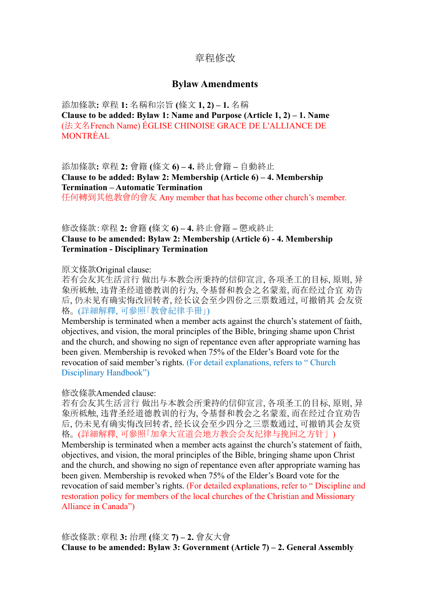# 章程修改

# **Bylaw Amendments**

添加條款**:** 章程 **1:** 名稱和宗旨 **(**條文 **1, 2) – 1.** 名稱 **Clause to be added: Bylaw 1: Name and Purpose (Article 1, 2) – 1. Name** (法文名French Name) ÉGLISE CHINOISE GRACE DE L'ALLIANCE DE MONTRÉAL

添加條款**:** 章程 **2:** 會籍 **(**條文 **6) – 4.** 終止會籍 **–** 自動終止 **Clause to be added: Bylaw 2: Membership (Article 6) – 4. Membership Termination – Automatic Termination**

任何轉到其他教會的會友 Any member that has become other church's member.

# 修改條款:章程 **2:** 會籍 **(**條文 **6) – 4.** 終止會籍 **–** 懲戒終止 **Clause to be amended: Bylaw 2: Membership (Article 6) - 4. Membership Termination - Disciplinary Termination**

原文條款Original clause:

若有会友其生活言行 做出与本教会所秉持的信仰宣言, 各项圣工的目标, 原则, 异 象所柢触, 违背圣经道德教训的行为, 令基督和教会之名蒙羞, 而在经过合宜 劝告 后, 仍未见有确实悔改回转者, 经长议会至少四份之三票数通过, 可撤销其 会友资 格。 (詳細解釋, 可參照「教會紀律手冊」)

Membership is terminated when a member acts against the church's statement of faith, objectives, and vision, the moral principles of the Bible, bringing shame upon Christ and the church, and showing no sign of repentance even after appropriate warning has been given. Membership is revoked when 75% of the Elder's Board vote for the revocation of said member's rights. (For detail explanations, refers to " Church Disciplinary Handbook")

修改條款Amended clause:

若有会友其生活言行 做出与本教会所秉持的信仰宣言, 各项圣工的目标, 原则, 异 象所柢触, 违背圣经道德教训的行为, 令基督和教会之名蒙羞, 而在经过合宜劝告 后, 仍未见有确实悔改回转者, 经长议会至少四分之三票数通过, 可撤销其会友资 格。 (詳細解釋, 可參照「加拿大宣道会地方教会会友纪律与挽回之方针」) Membership is terminated when a member acts against the church's statement of faith, objectives, and vision, the moral principles of the Bible, bringing shame upon Christ and the church, and showing no sign of repentance even after appropriate warning has been given. Membership is revoked when 75% of the Elder's Board vote for the revocation of said member's rights. (For detailed explanations, refer to " Discipline and restoration policy for members of the local churches of the Christian and Missionary Alliance in Canada")

修改條款:章程 **3:** 治理 **(**條文 **7) – 2.** 會友大會 **Clause to be amended: Bylaw 3: Government (Article 7) – 2. General Assembly**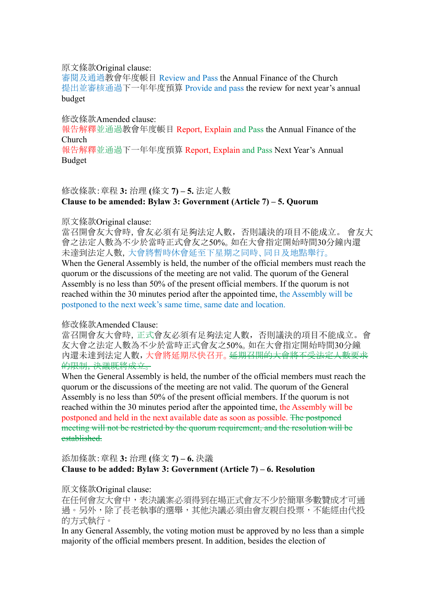#### 原文條款Original clause:

審閱及通過教會年度帳目 Review and Pass the Annual Finance of the Church 提出並審核通過下一年年度預算 Provide and pass the review for next year's annual budget

#### 修改條款Amended clause:

報告解釋並通過教會年度帳目 Report, Explain and Pass the Annual Finance of the Church

報告解釋並通過下一年年度預算 Report, Explain and Pass Next Year's Annual Budget

# 修改條款:章程 **3:** 治理 **(**條文 **7) – 5.** 法定人數 **Clause to be amended: Bylaw 3: Government (Article 7) – 5. Quorum**

#### 原文條款Original clause:

當召開會友大會時,會友必須有足夠法定人數,否則議決的項目不能成立。 會友大 會之法定人數為不少於當時正式會友之50%。如在大會指定開始時間30分鐘內還 未達到法定人數,大會將暫時休會延至下星期之同時、同日及地點舉行。 When the General Assembly is held, the number of the official members must reach the quorum or the discussions of the meeting are not valid. The quorum of the General Assembly is no less than 50% of the present official members. If the quorum is not reached within the 30 minutes period after the appointed time, the Assembly will be postponed to the next week's same time, same date and location.

#### 修改條款Amended Clause:

當召開會友大會時,正式會友必須有足夠法定人數,否則議決的項目不能成立。會 友大會之法定人數為不少於當時正式會友之50%。如在大會指定開始時間30分鐘 內還未達到法定人數,大會將延期尽快召开。延期召開的大會將不受法定人數要求 的限制,決議既將成立。

When the General Assembly is held, the number of the official members must reach the quorum or the discussions of the meeting are not valid. The quorum of the General Assembly is no less than 50% of the present official members. If the quorum is not reached within the 30 minutes period after the appointed time, the Assembly will be postponed and held in the next available date as soon as possible. The postponed meeting will not be restricted by the quorum requirement, and the resolution will be established.

# 添加條款:章程 **3:** 治理 **(**條文 **7) – 6.** 決議 **Clause to be added: Bylaw 3: Government (Article 7) – 6. Resolution**

原文條款Original clause:

在任何會友大會中,表決議案必須得到在場正式會友不少於簡單多數贊成才可通 過。另外,除了長老執事的選舉,其他決議必須由會友親自投票,不能經由代投 的方式執行。

In any General Assembly, the voting motion must be approved by no less than a simple majority of the official members present. In addition, besides the election of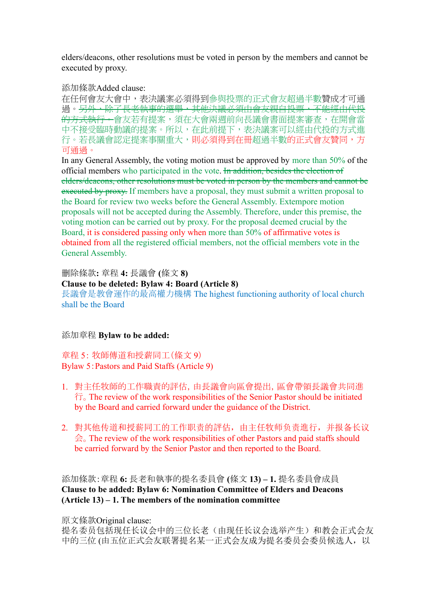elders/deacons, other resolutions must be voted in person by the members and cannot be executed by proxy.

添加條款Added clause:

在任何會友大會中,表決議案必須得到參與投票的正式會友超過半數贊成才可通 禍。<del>另外,除了長老執事的選舉,其他決議必須由會友親自投票,不能經由代投</del> 的方式執行。會友若有提案,須在大會兩週前向長議會書面提案審查,在開會當 中不接受臨時動議的提案。所以,在此前提下,表決議案可以經由代投的方式進 行。若長議會認定提案事關重大,則必須得到在冊超過半數的正式會友贊同,方 可通過。

In any General Assembly, the voting motion must be approved by more than 50% of the official members who participated in the vote. In addition, besides the election of elders/deacons, other resolutions must be voted in person by the members and cannot be executed by proxy. If members have a proposal, they must submit a written proposal to the Board for review two weeks before the General Assembly. Extempore motion proposals will not be accepted during the Assembly. Therefore, under this premise, the voting motion can be carried out by proxy. For the proposal deemed crucial by the Board, it is considered passing only when more than 50% of affirmative votes is obtained from all the registered official members, not the official members vote in the General Assembly.

刪除條款**:** 章程 **4:** 長議會 **(**條文 **8) Clause to be deleted: Bylaw 4: Board (Article 8)** 長議會是教會運作的最高權力機構 The highest functioning authority of local church shall be the Board

添加章程 **Bylaw to be added:**

章程 5: 牧師傳道和授薪同工(條文 9) Bylaw 5:Pastors and Paid Staffs (Article 9)

- 1. 對主任牧師的工作職責的評估,由長議會向區會提出,區會帶領長議會共同進 行。The review of the work responsibilities of the Senior Pastor should be initiated by the Board and carried forward under the guidance of the District.
- 2. 對其他传道和授薪同工的工作职责的評估,由主任牧师负责進行,并报备长议  $\triangle$ . The review of the work responsibilities of other Pastors and paid staffs should be carried forward by the Senior Pastor and then reported to the Board.

添加條款:章程 **6:** 長老和執事的提名委員會 **(**條文 **13) – 1.** 提名委員會成員 **Clause to be added: Bylaw 6: Nomination Committee of Elders and Deacons (Article 13) – 1. The members of the nomination committee**

原文條款Original clause: 提名委员包括现任长议会中的三位长老(由现任长议会选举产生)和教会正式会友 中的三位 (由五位正式会发程名某一正式会友成为提名委员会委员候选人,以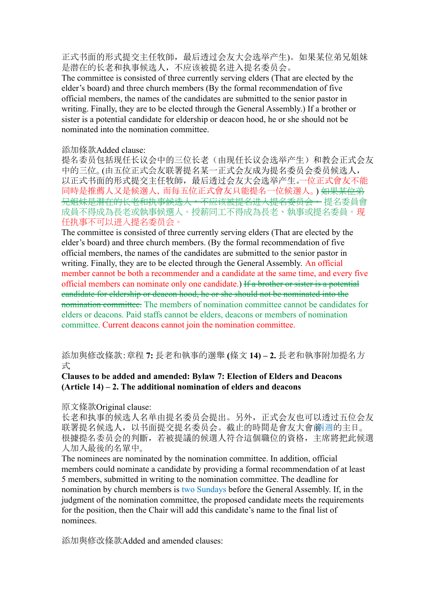正式书面的形式提交主任牧師,最后透过会友大会选举产生)。如果某位弟兄姐妹 是潜在的长老和执事候选人,不应该被提名进入提名委员会。

The committee is consisted of three currently serving elders (That are elected by the elder's board) and three church members (By the formal recommendation of five official members, the names of the candidates are submitted to the senior pastor in writing. Finally, they are to be elected through the General Assembly.) If a brother or sister is a potential candidate for eldership or deacon hood, he or she should not be nominated into the nomination committee.

#### 添加條款Added clause:

提名委员包括现任长议会中的三位长老(由现任长议会选举产生)和教会正式会友 中的三位。(由五位正式会友联署提名某一正式会友成为提名委员会委员候选人, 以正式书面的形式提交主任牧師,最后透过会友大会选举产生。一位正式會友不能 同時是推薦人又是候選人,而每五位正式會友只能提名一位候選人。) <del>如果某位弟</del> <del>兄姐妹是潜在的长老和执事候选人,不应该被提名进入提名委员会。</del> 提名委員會 成員不得成為長老或執事候選人。授薪同工不得成為長老、執事或提名委員。现 任执事不可以进入提名委员会。

The committee is consisted of three currently serving elders (That are elected by the elder's board) and three church members. (By the formal recommendation of five official members, the names of the candidates are submitted to the senior pastor in writing. Finally, they are to be elected through the General Assembly. An official member cannot be both a recommender and a candidate at the same time, and every five official members can nominate only one candidate.) If a brother or sister is a potential candidate for eldership or deacon hood, he or she should not be nominated into the nomination committee. The members of nomination committee cannot be candidates for elders or deacons. Paid staffs cannot be elders, deacons or members of nomination committee. Current deacons cannot join the nomination committee.

添加與修改條款:章程 **7:** 長老和執事的選舉 **(**條文 **14) – 2.** 長老和執事附加提名方 式

#### **Clauses to be added and amended: Bylaw 7: Election of Elders and Deacons (Article 14) – 2. The additional nomination of elders and deacons**

#### 原文條款Original clause:

长老和执事的候选人名单由提名委员会提出。另外,正式会友也可以透过五位会友 联署提名候选人, 以书面提交提名委员会。截止的時間是會友大會前洞過的主日。 根據提名委员会的判斷,若被提議的候選人符合這個職位的資格,主席將把此候選 人加入最後的名單中。

The nominees are nominated by the nomination committee. In addition, official members could nominate a candidate by providing a formal recommendation of at least 5 members, submitted in writing to the nomination committee. The deadline for nomination by church members is two Sundays before the General Assembly. If, in the judgment of the nomination committee, the proposed candidate meets the requirements for the position, then the Chair will add this candidate's name to the final list of nominees.

添加與修改條款Added and amended clauses: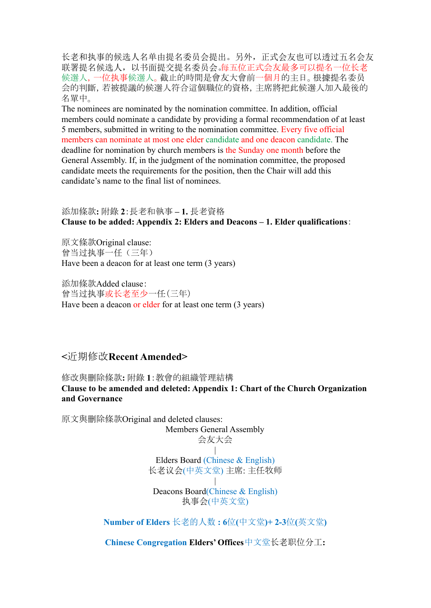长老和执事的候选人名单由提名委员会提出。另外,正式会友也可以透过五名会友 联署提名候选人,以书面提交提名委员会。每五位正式会友最多可以提名一位长老 候選人,一位执事候選人。截止的時間是會友大會前一個月的主日。根據提名委员 会的判斷,若被提議的候選人符合這個職位的資格,主席將把此候選人加入最後的 名單中。

The nominees are nominated by the nomination committee. In addition, official members could nominate a candidate by providing a formal recommendation of at least 5 members, submitted in writing to the nomination committee. Every five official members can nominate at most one elder candidate and one deacon candidate. The deadline for nomination by church members is the Sunday one month before the General Assembly. If, in the judgment of the nomination committee, the proposed candidate meets the requirements for the position, then the Chair will add this candidate's name to the final list of nominees.

# 添加條款**:** 附錄 **2**:長老和執事 **– 1.** 長老資格 **Clause to be added: Appendix 2: Elders and Deacons – 1. Elder qualifications**:

原文條款Original clause: 曾当过执事一任(三年) Have been a deacon for at least one term (3 years)

添加條款Added clause: 曾当过执事或长老至少一任(三年) Have been a deacon or elder for at least one term (3 years)

# **<**近期修改**Recent Amended>**

修改與刪除條款**:** 附錄 **1**:教會的組織管理結構 **Clause to be amended and deleted: Appendix 1: Chart of the Church Organization and Governance**

原文與刪除條款Original and deleted clauses: Members General Assembly 会友大会 | Elders Board (Chinese & English) 长老议会(中英文堂) 主席: 主任牧师 | Deacons Board(Chinese & English) 执事会(中英文堂) **Number of Elders** 长老的人数 **: 6**位**(**中文堂**)+ 2-3**位**(**英文堂**)**

**Chinese Congregation Elders' Offices**中文堂长老职位分工**:**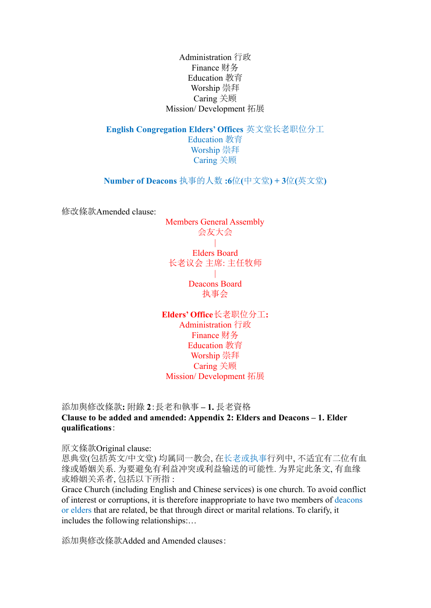Administration 行政 Finance 财务 Education 教育 Worship 崇拜 Caring 关顾 Mission/ Development 拓展

**English Congregation Elders' Offices** 英文堂长老职位分工

Education 教育 Worship 崇拜 Caring 关顾

**Number of Deacons** 执事的人数 **:6**位**(**中文堂**) + 3**位**(**英文堂**)**

修改條款Amended clause:

Members General Assembly 会友大会 |

Elders Board 长老议会 主席: 主任牧师

> Deacons Board 执事会

 $\blacksquare$ 

**Elders' Office**长老职位分工**:** Administration 行政 Finance 财务 Education 教育 Worship 崇拜 Caring 关顾 Mission/ Development 拓展

添加與修改條款**:** 附錄 **2**:長老和執事 **– 1.** 長老資格

**Clause to be added and amended: Appendix 2: Elders and Deacons – 1. Elder qualifications**:

原文條款Original clause:

恩典堂(包括英文/中文堂) 均属同一教会, 在长老或执事行列中, 不适宜有二位有血 缘或婚姻关系. 为要避免有利益冲突或利益输送的可能性. 为界定此条文, 有血缘 或婚姻关系者, 包括以下所指 :

Grace Church (including English and Chinese services) is one church. To avoid conflict of interest or corruptions, it is therefore inappropriate to have two members of deacons or elders that are related, be that through direct or marital relations. To clarify, it includes the following relationships:…

添加與修改條款Added and Amended clauses: